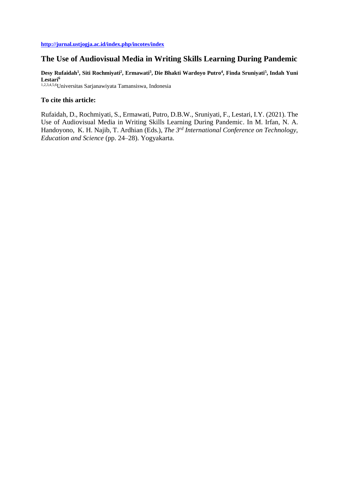# **The Use of Audiovisual Media in Writing Skills Learning During Pandemic**

**Desy Rufaidah<sup>1</sup> , Siti Rochmiyati<sup>2</sup> , Ermawati<sup>3</sup> , Die Bhakti Wardoyo Putro<sup>4</sup> , Finda Sruniyati<sup>5</sup> , Indah Yuni Lestari<sup>6</sup>**

1,2,3,4,5,6Universitas Sarjanawiyata Tamansiswa, Indonesia

## **To cite this article:**

Rufaidah, D., Rochmiyati, S., Ermawati, Putro, D.B.W., Sruniyati, F., Lestari, I.Y. (2021). The Use of Audiovisual Media in Writing Skills Learning During Pandemic. In M. Irfan, N. A. Handoyono, K. H. Najib, T. Ardhian (Eds.), *The 3rd International Conference on Technology, Education and Science* (pp. 24–28). Yogyakarta.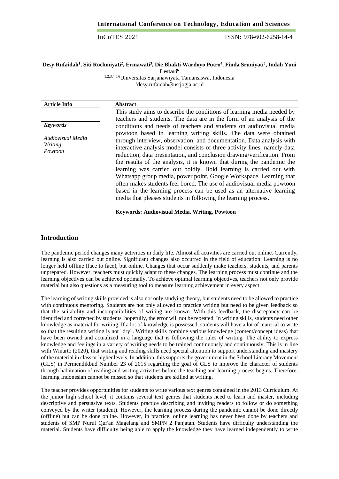## **Desy Rufaidah<sup>1</sup> , Siti Rochmiyati<sup>2</sup> , Ermawati<sup>3</sup> , Die Bhakti Wardoyo Putro<sup>4</sup> , Finda Sruniyati<sup>5</sup> , Indah Yuni**

**Lestari<sup>6</sup>**

1,2,3,4,5,6Universitas Sarjanawiyata Tamansiswa, Indonesia <sup>1</sup>[desy.rufaidah@ustjogja.ac.id](mailto:desy.rufaidah@ustjogja.ac.id)

| <b>Article Info</b>                                        | <b>Abstract</b>                                                                                                                                                                                                                                                                                                                                                                                                                                                                                                                                                                                    |
|------------------------------------------------------------|----------------------------------------------------------------------------------------------------------------------------------------------------------------------------------------------------------------------------------------------------------------------------------------------------------------------------------------------------------------------------------------------------------------------------------------------------------------------------------------------------------------------------------------------------------------------------------------------------|
| <b>Keywords</b><br>Audiovisual Media<br>Writing<br>Powtoon | This study aims to describe the conditions of learning media needed by<br>teachers and students. The data are in the form of an analysis of the<br>conditions and needs of teachers and students on audiovisual media<br>powtoon based in learning writing skills. The data were obtained<br>through interview, observation, and documentation. Data analysis with<br>interactive analysis model consists of three activity lines, namely data<br>reduction, data presentation, and conclusion drawing/verification. From<br>the results of the analysis, it is known that during the pandemic the |
|                                                            | learning was carried out boldly. Bold learning is carried out with<br>Whatsapp group media, power point, Google Workspace. Learning that<br>often makes students feel bored. The use of audiovisual media powtoon<br>based in the learning process can be used as an alternative learning<br>media that pleases students in following the learning process.<br><b>Keywords: Audiovisual Media, Writing, Powtoon</b>                                                                                                                                                                                |

## **Introduction**

The pandemic period changes many activities in daily life. Almost all activities are carried out online. Currently, learning is also carried out online. Significant changes also occurred in the field of education. Learning is no longer held offline (face to face), but online. Changes that occur suddenly make teachers, students, and parents unprepared. However, teachers must quickly adapt to these changes. The learning process must continue and the learning objectives can be achieved optimally. To achieve optimal learning objectives, teachers not only provide material but also questions as a measuring tool to measure learning achievement in every aspect.

The learning of writing skills provided is also not only studying theory, but students need to be allowed to practice with continuous mentoring. Students are not only allowed to practice writing but need to be given feedback so that the suitability and incompatibilities of writing are known. With this feedback, the discrepancy can be identified and corrected by students, hopefully, the error will not be repeated. In writing skills, students need other knowledge as material for writing. If a lot of knowledge is possessed, students will have a lot of material to write so that the resulting writing is not "dry". Writing skills combine various knowledge (content/concept ideas) that have been owned and actualized in a language that is following the rules of writing. The ability to express knowledge and feelings in a variety of writing needs to be trained continuously and continuously. This is in line with Winarto (2020), that writing and reading skills need special attention to support understanding and mastery of the material in class or higher levels. In addition, this supports the government in the School Literacy Movement (GLS) in Permendikbud Number 23 of 2015 regarding the goal of GLS to improve the character of students through habituation of reading and writing activities before the teaching and learning process begins. Therefore, learning Indonesian cannot be missed so that students are skilled at writing.

The teacher provides opportunities for students to write various text genres contained in the 2013 Curriculum. At the junior high school level, it contains several text genres that students need to learn and master, including descriptive and persuasive texts. Students practice describing and inviting readers to follow or do something conveyed by the writer (student). However, the learning process during the pandemic cannot be done directly (offline) but can be done online. However, in practice, online learning has never been done by teachers and students of SMP Nurul Qur'an Magelang and SMPN 2 Panjatan. Students have difficulty understanding the material. Students have difficulty being able to apply the knowledge they have learned independently to write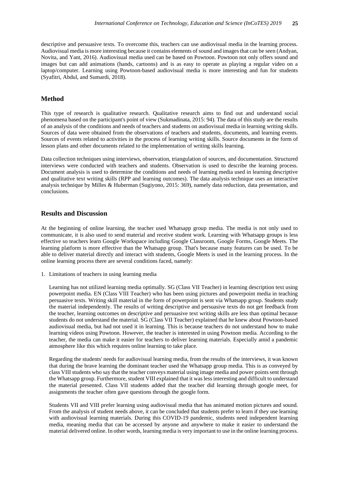descriptive and persuasive texts. To overcome this, teachers can use audiovisual media in the learning process. Audiovisual media is more interesting because it contains elements of sound and images that can be seen (Andyan, Novita, and Yant, 2016). Audiovisual media used can be based on Powtoon. Powtoon not only offers sound and images but can add animations (hands, cartoons) and is as easy to operate as playing a regular video on a laptop/computer. Learning using Powtoon-based audiovisual media is more interesting and fun for students (Syafitri, Abdul, and Sumardi, 2018).

### **Method**

This type of research is qualitative research. Qualitative research aims to find out and understand social phenomena based on the participant's point of view (Sukmadinata, 2015: 94). The data of this study are the results of an analysis of the conditions and needs of teachers and students on audiovisual media in learning writing skills. Sources of data were obtained from the observations of teachers and students, documents, and learning events. Sources of events related to activities in the process of learning writing skills. Source documents in the form of lesson plans and other documents related to the implementation of writing skills learning.

Data collection techniques using interviews, observation, triangulation of sources, and documentation. Structured interviews were conducted with teachers and students. Observation is used to describe the learning process. Document analysis is used to determine the conditions and needs of learning media used in learning descriptive and qualitative text writing skills (RPP and learning outcomes). The data analysis technique uses an interactive analysis technique by Milles & Huberman (Sugiyono, 2015: 369), namely data reduction, data presentation, and conclusions.

## **Results and Discussion**

At the beginning of online learning, the teacher used Whatsapp group media. The media is not only used to communicate, it is also used to send material and receive student work. Learning with Whatsapp groups is less effective so teachers learn Google Workspace including Google Classroom, Google Forms, Google Meets. The learning platform is more effective than the Whatsapp group. That's because many features can be used. To be able to deliver material directly and interact with students, Google Meets is used in the learning process. In the online learning process there are several conditions faced, namely:

1. Limitations of teachers in using learning media

Learning has not utilized learning media optimally. SG (Class VII Teacher) in learning description text using powerpoint media. EN (Class VIII Teacher) who has been using pictures and powerpoint media in teaching persuasive texts. Writing skill material in the form of powerpoint is sent via Whatsapp group. Students study the material independently. The results of writing descriptive and persuasive texts do not get feedback from the teacher, learning outcomes on descriptive and persuasive text writing skills are less than optimal because students do not understand the material. SG (Class VII Teacher) explained that he knew about Powtoon-based audiovisual media, but had not used it in learning. This is because teachers do not understand how to make learning videos using Powtoon. However, the teacher is interested in using Powtoon media. According to the teacher, the media can make it easier for teachers to deliver learning materials. Especially amid a pandemic atmosphere like this which requires online learning to take place.

Regarding the students' needs for audiovisual learning media, from the results of the interviews, it was known that during the brave learning the dominant teacher used the Whatsapp group media. This is as conveyed by class VIII students who say that the teacher conveys material using image media and power points sent through the Whatsapp group. Furthermore, student VIII explained that it was less interesting and difficult to understand the material presented. Class VII students added that the teacher did learning through google meet, for assignments the teacher often gave questions through the google form.

Students VII and VIII prefer learning using audiovisual media that has animated motion pictures and sound. From the analysis of student needs above, it can be concluded that students prefer to learn if they use learning with audiovisual learning materials. During this COVID-19 pandemic, students need independent learning media, meaning media that can be accessed by anyone and anywhere to make it easier to understand the material delivered online. In other words, learning media is very important to use in the online learning process.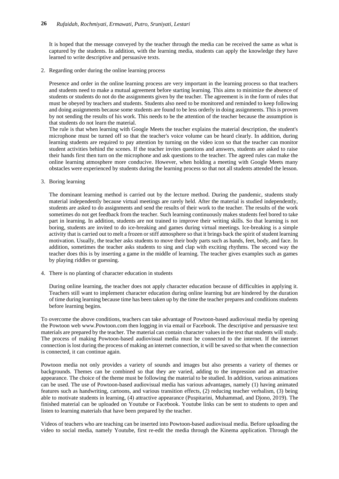It is hoped that the message conveyed by the teacher through the media can be received the same as what is captured by the students. In addition, with the learning media, students can apply the knowledge they have learned to write descriptive and persuasive texts.

2. Regarding order during the online learning process

Presence and order in the online learning process are very important in the learning process so that teachers and students need to make a mutual agreement before starting learning. This aims to minimize the absence of students or students do not do the assignments given by the teacher. The agreement is in the form of rules that must be obeyed by teachers and students. Students also need to be monitored and reminded to keep following and doing assignments because some students are found to be less orderly in doing assignments. This is proven by not sending the results of his work. This needs to be the attention of the teacher because the assumption is that students do not learn the material.

The rule is that when learning with Google Meets the teacher explains the material description, the student's microphone must be turned off so that the teacher's voice volume can be heard clearly. In addition, during learning students are required to pay attention by turning on the video icon so that the teacher can monitor student activities behind the scenes. If the teacher invites questions and answers, students are asked to raise their hands first then turn on the microphone and ask questions to the teacher. The agreed rules can make the online learning atmosphere more conducive. However, when holding a meeting with Google Meets many obstacles were experienced by students during the learning process so that not all students attended the lesson.

3. Boring learning

The dominant learning method is carried out by the lecture method. During the pandemic, students study material independently because virtual meetings are rarely held. After the material is studied independently, students are asked to do assignments and send the results of their work to the teacher. The results of the work sometimes do not get feedback from the teacher. Such learning continuously makes students feel bored to take part in learning. In addition, students are not trained to improve their writing skills. So that learning is not boring, students are invited to do ice-breaking and games during virtual meetings. Ice-breaking is a simple activity that is carried out to melt a frozen or stiff atmosphere so that it brings back the spirit of student learning motivation. Usually, the teacher asks students to move their body parts such as hands, feet, body, and face. In addition, sometimes the teacher asks students to sing and clap with exciting rhythms. The second way the teacher does this is by inserting a game in the middle of learning. The teacher gives examples such as games by playing riddles or guessing.

4. There is no planting of character education in students

During online learning, the teacher does not apply character education because of difficulties in applying it. Teachers still want to implement character education during online learning but are hindered by the duration of time during learning because time has been taken up by the time the teacher prepares and conditions students before learning begins.

To overcome the above conditions, teachers can take advantage of Powtoon-based audiovisual media by opening the Powtoon web www.Powtoon.com then logging in via email or Facebook. The descriptive and persuasive text materials are prepared by the teacher. The material can contain character values in the text that students will study. The process of making Powtoon-based audiovisual media must be connected to the internet. If the internet connection is lost during the process of making an internet connection, it will be saved so that when the connection is connected, it can continue again.

Powtoon media not only provides a variety of sounds and images but also presents a variety of themes or backgrounds. Themes can be combined so that they are varied, adding to the impression and an attractive appearance. The choice of the theme must be following the material to be studied. In addition, various animations can be used. The use of Powtoon-based audiovisual media has various advantages, namely (1) having animated features such as handwriting, cartoons, and various transition effects, (2) reducing teacher verbalism, (3) being able to motivate students in learning, (4) attractive appearance (Puspitarini, Muhammad, and Djono, 2019). The finished material can be uploaded on Youtube or Facebook. Youtube links can be sent to students to open and listen to learning materials that have been prepared by the teacher.

Videos of teachers who are teaching can be inserted into Powtoon-based audiovisual media. Before uploading the video to social media, namely Youtube, first re-edit the media through the Kinema application. Through the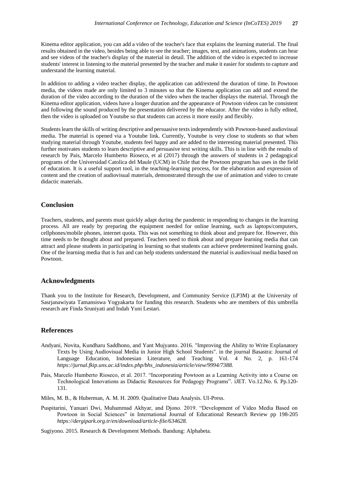Kinema editor application, you can add a video of the teacher's face that explains the learning material. The final results obtained in the video, besides being able to see the teacher; images, text, and animations, students can hear and see videos of the teacher's display of the material in detail. The addition of the video is expected to increase students' interest in listening to the material presented by the teacher and make it easier for students to capture and understand the learning material.

In addition to adding a video teacher display, the application can add/extend the duration of time. In Powtoon media, the videos made are only limited to 3 minutes so that the Kinema application can add and extend the duration of the video according to the duration of the video when the teacher displays the material. Through the Kinema editor application, videos have a longer duration and the appearance of Powtoon videos can be consistent and following the sound produced by the presentation delivered by the educator. After the video is fully edited, then the video is uploaded on Youtube so that students can access it more easily and flexibly.

Students learn the skills of writing descriptive and persuasive texts independently with Powtoon-based audiovisual media. The material is opened via a Youtube link. Currently, Youtube is very close to students so that when studying material through Youtube, students feel happy and are added to the interesting material presented. This further motivates students to learn descriptive and persuasive text writing skills. This is in line with the results of research by Pais, Marcelo Humberto Rioseco, et al (2017) through the answers of students in 2 pedagogical programs of the Universidad Catolica del Maule (UCM) in Chile that the Powtoon program has uses in the field of education. It is a useful support tool, in the teaching-learning process, for the elaboration and expression of content and the creation of audiovisual materials, demonstrated through the use of animation and video to create didactic materials.

## **Conclusion**

Teachers, students, and parents must quickly adapt during the pandemic in responding to changes in the learning process. All are ready by preparing the equipment needed for online learning, such as laptops/computers, cellphones/mobile phones, internet quota. This was not something to think about and prepare for. However, this time needs to be thought about and prepared. Teachers need to think about and prepare learning media that can attract and please students in participating in learning so that students can achieve predetermined learning goals. One of the learning media that is fun and can help students understand the material is audiovisual media based on Powtoon.

#### **Acknowledgments**

Thank you to the Institute for Research, Development, and Community Service (LP3M) at the University of Sasrjanawiyata Tamansiswa Yogyakarta for funding this research. Students who are members of this umbrella research are Finda Sruniyati and Indah Yuni Lestari.

### **References**

- Andyani, Novita, Kundharu Saddhono, and Yant Mujyanto. 2016. "Improving the Ability to Write Explanatory Texts by Using Audiovisual Media in Junior High School Students". in the journal Basastra: Journal of Language Education, Indonesian Literature, and Teaching Vol. 4 No. 2, p. 161-174 *https://jurnal.fkip.uns.ac.id/index.php/bhs\_indonesia/article/view/9994/7388.*
- Pais, Marcelo Humberto Rioseco, et al. 2017. "Incorporating Powtoon as a Learning Activity into a Course on Technological Innovations as Didactic Resources for Pedagogy Programs". iJET. Vo.12.No. 6. Pp.120- 131.
- Miles, M. B., & Huberman, A. M. H. 2009. Qualitative Data Analysis. UI-Press.
- Puspitarini, Yanuari Dwi, Muhammad Akhyar, and Djono. 2019. "Development of Video Media Based on Powtoon in Social Sciences" in International Journal of Educational Research Review pp 198-205 *https://dergipark.org.tr/en/download/article-file/634628.*

Sugiyono. 2015. Research & Development Methods. Bandung: Alphabeta.